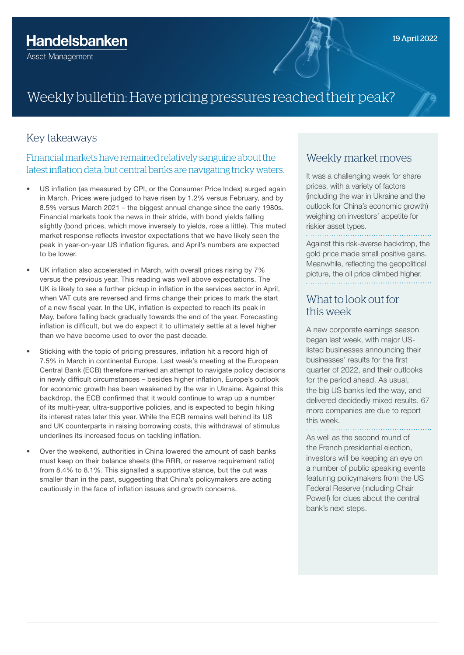# Weekly bulletin: Have pricing pressures reached their peak?

#### Key takeaways

Financial markets have remained relatively sanguine about the latest inflation data, but central banks are navigating tricky waters.

- US inflation (as measured by CPI, or the Consumer Price Index) surged again in March. Prices were judged to have risen by 1.2% versus February, and by 8.5% versus March 2021 – the biggest annual change since the early 1980s. Financial markets took the news in their stride, with bond yields falling slightly (bond prices, which move inversely to yields, rose a little). This muted market response reflects investor expectations that we have likely seen the peak in year-on-year US inflation figures, and April's numbers are expected to be lower.
- UK inflation also accelerated in March, with overall prices rising by 7% versus the previous year. This reading was well above expectations. The UK is likely to see a further pickup in inflation in the services sector in April, when VAT cuts are reversed and firms change their prices to mark the start of a new fiscal year. In the UK, inflation is expected to reach its peak in May, before falling back gradually towards the end of the year. Forecasting inflation is difficult, but we do expect it to ultimately settle at a level higher than we have become used to over the past decade.
- Sticking with the topic of pricing pressures, inflation hit a record high of 7.5% in March in continental Europe. Last week's meeting at the European Central Bank (ECB) therefore marked an attempt to navigate policy decisions in newly difficult circumstances – besides higher inflation, Europe's outlook for economic growth has been weakened by the war in Ukraine. Against this backdrop, the ECB confirmed that it would continue to wrap up a number of its multi-year, ultra-supportive policies, and is expected to begin hiking its interest rates later this year. While the ECB remains well behind its US and UK counterparts in raising borrowing costs, this withdrawal of stimulus underlines its increased focus on tackling inflation.
- Over the weekend, authorities in China lowered the amount of cash banks must keep on their balance sheets (the RRR, or reserve requirement ratio) from 8.4% to 8.1%. This signalled a supportive stance, but the cut was smaller than in the past, suggesting that China's policymakers are acting cautiously in the face of inflation issues and growth concerns.

#### Weekly market moves

It was a challenging week for share prices, with a variety of factors (including the war in Ukraine and the outlook for China's economic growth) weighing on investors' appetite for riskier asset types.

. . . . . . . . . . . . . . . . Against this risk-averse backdrop, the gold price made small positive gains.

Meanwhile, reflecting the geopolitical picture, the oil price climbed higher.

#### What to look out for this week

A new corporate earnings season began last week, with major USlisted businesses announcing their businesses' results for the first quarter of 2022, and their outlooks for the period ahead. As usual, the big US banks led the way, and delivered decidedly mixed results. 67 more companies are due to report this week.

As well as the second round of the French presidential election, investors will be keeping an eye on a number of public speaking events featuring policymakers from the US Federal Reserve (including Chair Powell) for clues about the central bank's next steps.